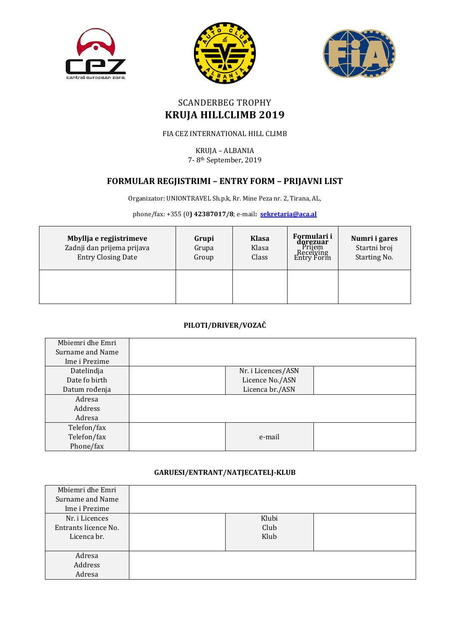





# SCANDERBEG TROPHY **KRUJA HILLCLIMB 2019**

## FIA CEZ INTERNATIONAL HILL CLIMB

KRUJA – ALBANIA 7- 8th September, 2019

# **FORMULAR REGJISTRIMI – ENTRY FORM – PRIJAVNI LIST**

Organizator: UNIONTRAVEL Sh.p.k, Rr. Mine Peza nr. 2, Tirana, AL,

phone/fax: +355 (0**) 42387017/8**; e-mail**: [sekretaria@aca.al](mailto:sekretaria@aca.al)**

| Mbyllja e regjistrimeve<br>Zadnji dan prijema prijava<br><b>Entry Closing Date</b> | Grupi<br>Grupa<br>Group | <b>Klasa</b><br>Klasa<br>Class | Formulari i<br><b>dorezuar</b><br>Prijem<br>Receiving<br>Entry Form | Numri i gares<br>Startni broj<br>Starting No. |
|------------------------------------------------------------------------------------|-------------------------|--------------------------------|---------------------------------------------------------------------|-----------------------------------------------|
|                                                                                    |                         |                                |                                                                     |                                               |

### **PILOTI/DRIVER/VOZAČ**

| Mbiemri dhe Emri |                    |
|------------------|--------------------|
| Surname and Name |                    |
| Ime i Prezime    |                    |
| Datelindja       | Nr. i Licences/ASN |
| Date fo birth    | Licence No./ASN    |
| Datum rođenja    | Licenca br./ASN    |
| Adresa           |                    |
| Address          |                    |
| Adresa           |                    |
| Telefon/fax      |                    |
| Telefon/fax      | e-mail             |
| Phone/fax        |                    |

#### **GARUESI/ENTRANT/NATJECATELJ-KLUB**

| Mbiemri dhe Emri     |       |  |
|----------------------|-------|--|
| Surname and Name     |       |  |
| Ime i Prezime        |       |  |
| Nr. i Licences       | Klubi |  |
| Entrants licence No. | Club  |  |
| Licenca br.          | Klub  |  |
|                      |       |  |
| Adresa               |       |  |
| Address              |       |  |
| Adresa               |       |  |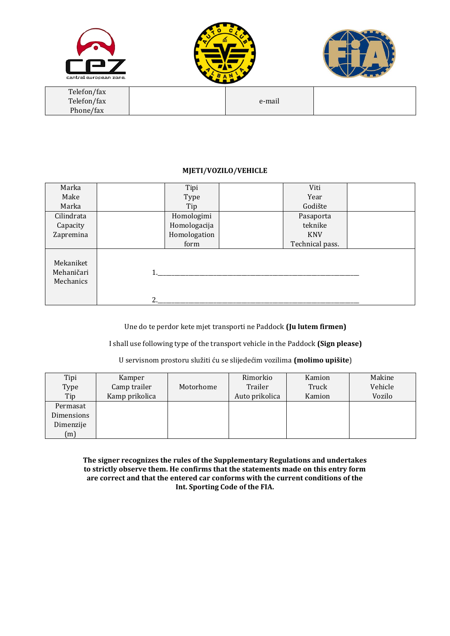





| Telefon/fax |        |  |
|-------------|--------|--|
| Telefon/fax | e-mail |  |
| Phone/fax   |        |  |

#### **MJETI/VOZILO/VEHICLE**

| Marka                                |    | Tipi         | Viti            |  |
|--------------------------------------|----|--------------|-----------------|--|
| Make                                 |    | Type         | Year            |  |
| Marka                                |    | Tip          | Godište         |  |
| Cilindrata                           |    | Homologimi   | Pasaporta       |  |
| Capacity                             |    | Homologacija | teknike         |  |
| Zapremina                            |    | Homologation | <b>KNV</b>      |  |
|                                      |    | form         | Technical pass. |  |
| Mekaniket<br>Mehaničari<br>Mechanics | 2. |              |                 |  |

Une do te perdor kete mjet transporti ne Paddock **(Ju lutem firmen)**

I shall use following type of the transport vehicle in the Paddock **(Sign please)**

#### U servisnom prostoru služiti ću se slijedećim vozilima **(molimo upišite**)

| Tipi       | Kamper         |           | Rimorkio       | Kamion | Makine  |
|------------|----------------|-----------|----------------|--------|---------|
| Type       | Camp trailer   | Motorhome | Trailer        | Truck  | Vehicle |
| Tip        | Kamp prikolica |           | Auto prikolica | Kamion | Vozilo  |
| Permasat   |                |           |                |        |         |
| Dimensions |                |           |                |        |         |
| Dimenzije  |                |           |                |        |         |
| (m)        |                |           |                |        |         |

**The signer recognizes the rules of the Supplementary Regulations and undertakes to strictly observe them. He confirms that the statements made on this entry form are correct and that the entered car conforms with the current conditions of the Int. Sporting Code of the FIA.**